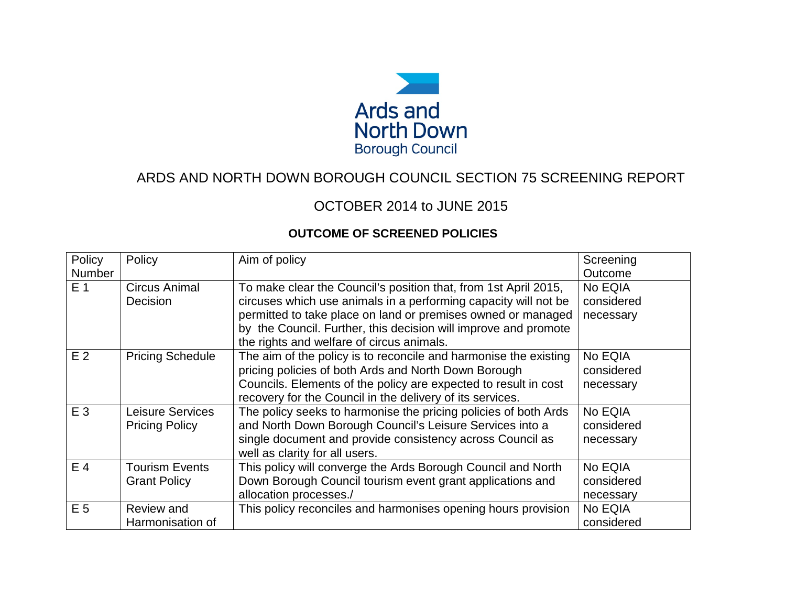

## ARDS AND NORTH DOWN BOROUGH COUNCIL SECTION 75 SCREENING REPORT

## OCTOBER 2014 to JUNE 2015

## **OUTCOME OF SCREENED POLICIES**

| Policy         | Policy                  | Aim of policy                                                    | Screening  |
|----------------|-------------------------|------------------------------------------------------------------|------------|
| <b>Number</b>  |                         |                                                                  | Outcome    |
| E <sub>1</sub> | <b>Circus Animal</b>    | To make clear the Council's position that, from 1st April 2015,  | No EQIA    |
|                | Decision                | circuses which use animals in a performing capacity will not be  | considered |
|                |                         | permitted to take place on land or premises owned or managed     | necessary  |
|                |                         | by the Council. Further, this decision will improve and promote  |            |
|                |                         | the rights and welfare of circus animals.                        |            |
| E <sub>2</sub> | <b>Pricing Schedule</b> | The aim of the policy is to reconcile and harmonise the existing | No EQIA    |
|                |                         | pricing policies of both Ards and North Down Borough             | considered |
|                |                         | Councils. Elements of the policy are expected to result in cost  | necessary  |
|                |                         | recovery for the Council in the delivery of its services.        |            |
| $E_3$          | <b>Leisure Services</b> | The policy seeks to harmonise the pricing policies of both Ards  | No EQIA    |
|                | <b>Pricing Policy</b>   | and North Down Borough Council's Leisure Services into a         | considered |
|                |                         | single document and provide consistency across Council as        | necessary  |
|                |                         | well as clarity for all users.                                   |            |
| E <sub>4</sub> | <b>Tourism Events</b>   | This policy will converge the Ards Borough Council and North     | No EQIA    |
|                | <b>Grant Policy</b>     | Down Borough Council tourism event grant applications and        | considered |
|                |                         | allocation processes./                                           | necessary  |
| E 5            | Review and              | This policy reconciles and harmonises opening hours provision    | No EQIA    |
|                | Harmonisation of        |                                                                  | considered |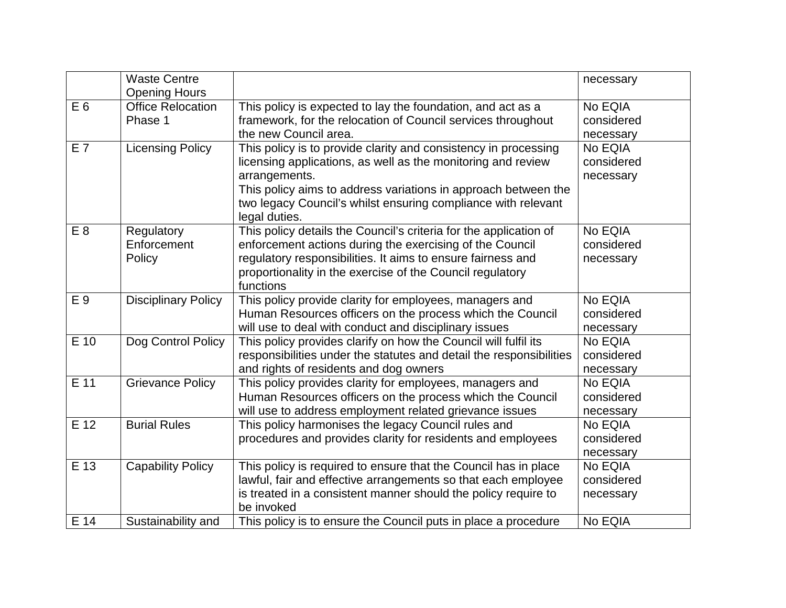|                | <b>Waste Centre</b><br><b>Opening Hours</b> |                                                                                                                                                                                                                                                                                                      | necessary                                     |
|----------------|---------------------------------------------|------------------------------------------------------------------------------------------------------------------------------------------------------------------------------------------------------------------------------------------------------------------------------------------------------|-----------------------------------------------|
| E <sub>6</sub> | <b>Office Relocation</b><br>Phase 1         | This policy is expected to lay the foundation, and act as a<br>framework, for the relocation of Council services throughout<br>the new Council area.                                                                                                                                                 | No EQIA<br>considered<br>necessary            |
| E 7            | <b>Licensing Policy</b>                     | This policy is to provide clarity and consistency in processing<br>licensing applications, as well as the monitoring and review<br>arrangements.<br>This policy aims to address variations in approach between the<br>two legacy Council's whilst ensuring compliance with relevant<br>legal duties. | No EQIA<br>considered<br>necessary            |
| E <sub>8</sub> | Regulatory<br>Enforcement<br>Policy         | This policy details the Council's criteria for the application of<br>enforcement actions during the exercising of the Council<br>regulatory responsibilities. It aims to ensure fairness and<br>proportionality in the exercise of the Council regulatory<br>functions                               | No EQIA<br>considered<br>necessary            |
| E 9            | <b>Disciplinary Policy</b>                  | This policy provide clarity for employees, managers and<br>Human Resources officers on the process which the Council<br>will use to deal with conduct and disciplinary issues                                                                                                                        | No EQIA<br>considered<br>necessary            |
| E 10           | Dog Control Policy                          | This policy provides clarify on how the Council will fulfil its<br>responsibilities under the statutes and detail the responsibilities<br>and rights of residents and dog owners                                                                                                                     | No EQIA<br>considered<br>necessary            |
| E 11           | <b>Grievance Policy</b>                     | This policy provides clarity for employees, managers and<br>Human Resources officers on the process which the Council<br>will use to address employment related grievance issues                                                                                                                     | No EQIA<br>considered<br>necessary            |
| $E$ 12         | <b>Burial Rules</b>                         | This policy harmonises the legacy Council rules and<br>procedures and provides clarity for residents and employees                                                                                                                                                                                   | No EQIA<br>considered<br>necessary            |
| E 13<br>E 14   | <b>Capability Policy</b>                    | This policy is required to ensure that the Council has in place<br>lawful, fair and effective arrangements so that each employee<br>is treated in a consistent manner should the policy require to<br>be invoked                                                                                     | No EQIA<br>considered<br>necessary<br>No EQIA |
|                | Sustainability and                          | This policy is to ensure the Council puts in place a procedure                                                                                                                                                                                                                                       |                                               |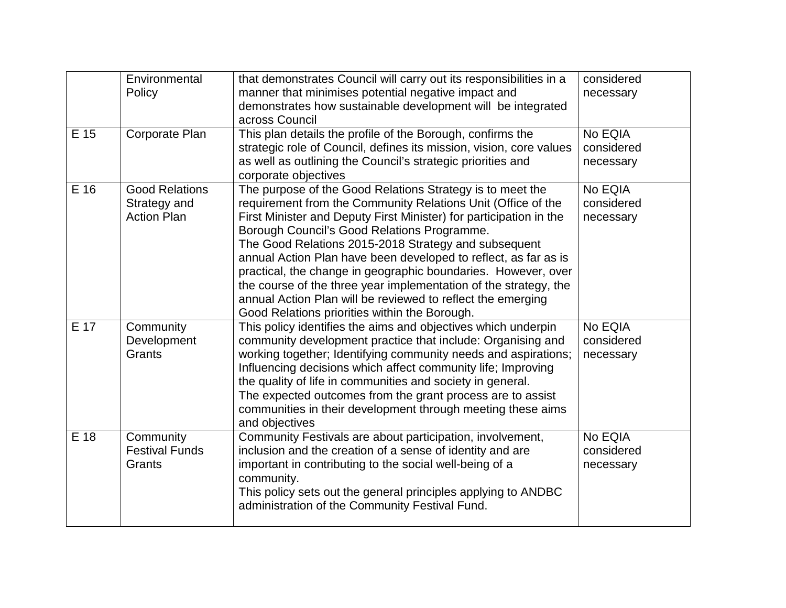|      | Environmental         | that demonstrates Council will carry out its responsibilities in a  | considered |
|------|-----------------------|---------------------------------------------------------------------|------------|
|      | Policy                | manner that minimises potential negative impact and                 | necessary  |
|      |                       | demonstrates how sustainable development will be integrated         |            |
|      |                       | across Council                                                      |            |
| E 15 | Corporate Plan        | This plan details the profile of the Borough, confirms the          | No EQIA    |
|      |                       | strategic role of Council, defines its mission, vision, core values | considered |
|      |                       | as well as outlining the Council's strategic priorities and         | necessary  |
|      |                       | corporate objectives                                                |            |
| E 16 | <b>Good Relations</b> | The purpose of the Good Relations Strategy is to meet the           | No EQIA    |
|      | Strategy and          | requirement from the Community Relations Unit (Office of the        | considered |
|      | <b>Action Plan</b>    | First Minister and Deputy First Minister) for participation in the  | necessary  |
|      |                       | Borough Council's Good Relations Programme.                         |            |
|      |                       | The Good Relations 2015-2018 Strategy and subsequent                |            |
|      |                       | annual Action Plan have been developed to reflect, as far as is     |            |
|      |                       | practical, the change in geographic boundaries. However, over       |            |
|      |                       | the course of the three year implementation of the strategy, the    |            |
|      |                       | annual Action Plan will be reviewed to reflect the emerging         |            |
|      |                       | Good Relations priorities within the Borough.                       |            |
| E 17 | Community             | This policy identifies the aims and objectives which underpin       | No EQIA    |
|      | Development           | community development practice that include: Organising and         | considered |
|      | <b>Grants</b>         | working together; Identifying community needs and aspirations;      | necessary  |
|      |                       | Influencing decisions which affect community life; Improving        |            |
|      |                       | the quality of life in communities and society in general.          |            |
|      |                       | The expected outcomes from the grant process are to assist          |            |
|      |                       | communities in their development through meeting these aims         |            |
|      |                       | and objectives                                                      |            |
| E 18 | Community             | Community Festivals are about participation, involvement,           | No EQIA    |
|      | <b>Festival Funds</b> | inclusion and the creation of a sense of identity and are           | considered |
|      | Grants                | important in contributing to the social well-being of a             | necessary  |
|      |                       | community.                                                          |            |
|      |                       | This policy sets out the general principles applying to ANDBC       |            |
|      |                       | administration of the Community Festival Fund.                      |            |
|      |                       |                                                                     |            |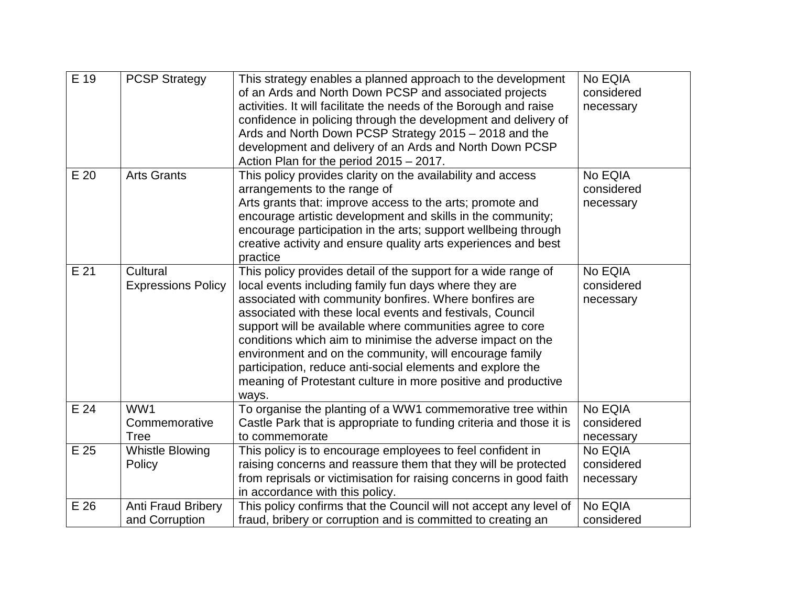| E 19 | <b>PCSP Strategy</b>                        | This strategy enables a planned approach to the development<br>of an Ards and North Down PCSP and associated projects<br>activities. It will facilitate the needs of the Borough and raise<br>confidence in policing through the development and delivery of<br>Ards and North Down PCSP Strategy 2015 - 2018 and the<br>development and delivery of an Ards and North Down PCSP<br>Action Plan for the period 2015 - 2017.                                                                                                                                                  | No EQIA<br>considered<br>necessary |
|------|---------------------------------------------|------------------------------------------------------------------------------------------------------------------------------------------------------------------------------------------------------------------------------------------------------------------------------------------------------------------------------------------------------------------------------------------------------------------------------------------------------------------------------------------------------------------------------------------------------------------------------|------------------------------------|
| E 20 | <b>Arts Grants</b>                          | This policy provides clarity on the availability and access<br>arrangements to the range of<br>Arts grants that: improve access to the arts; promote and<br>encourage artistic development and skills in the community;<br>encourage participation in the arts; support wellbeing through<br>creative activity and ensure quality arts experiences and best<br>practice                                                                                                                                                                                                      | No EQIA<br>considered<br>necessary |
| E 21 | Cultural<br><b>Expressions Policy</b>       | This policy provides detail of the support for a wide range of<br>local events including family fun days where they are<br>associated with community bonfires. Where bonfires are<br>associated with these local events and festivals, Council<br>support will be available where communities agree to core<br>conditions which aim to minimise the adverse impact on the<br>environment and on the community, will encourage family<br>participation, reduce anti-social elements and explore the<br>meaning of Protestant culture in more positive and productive<br>ways. | No EQIA<br>considered<br>necessary |
| E 24 | WW1<br>Commemorative<br><b>Tree</b>         | To organise the planting of a WW1 commemorative tree within<br>Castle Park that is appropriate to funding criteria and those it is<br>to commemorate                                                                                                                                                                                                                                                                                                                                                                                                                         | No EQIA<br>considered<br>necessary |
| E 25 | <b>Whistle Blowing</b><br>Policy            | This policy is to encourage employees to feel confident in<br>raising concerns and reassure them that they will be protected<br>from reprisals or victimisation for raising concerns in good faith<br>in accordance with this policy.                                                                                                                                                                                                                                                                                                                                        | No EQIA<br>considered<br>necessary |
| E 26 | <b>Anti Fraud Bribery</b><br>and Corruption | This policy confirms that the Council will not accept any level of<br>fraud, bribery or corruption and is committed to creating an                                                                                                                                                                                                                                                                                                                                                                                                                                           | No EQIA<br>considered              |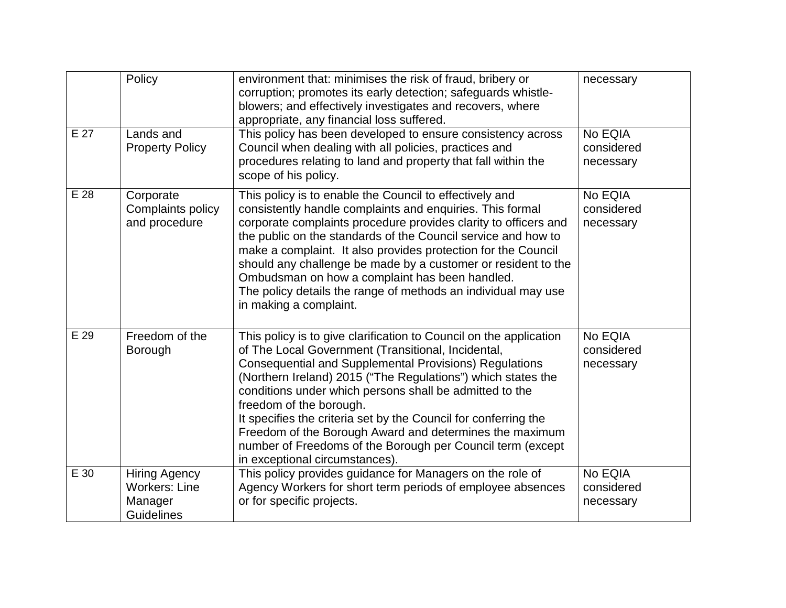|        | Policy                                                                       | environment that: minimises the risk of fraud, bribery or<br>corruption; promotes its early detection; safeguards whistle-<br>blowers; and effectively investigates and recovers, where<br>appropriate, any financial loss suffered.                                                                                                                                                                                                                                                                                                                                          | necessary                          |
|--------|------------------------------------------------------------------------------|-------------------------------------------------------------------------------------------------------------------------------------------------------------------------------------------------------------------------------------------------------------------------------------------------------------------------------------------------------------------------------------------------------------------------------------------------------------------------------------------------------------------------------------------------------------------------------|------------------------------------|
| E 27   | Lands and<br><b>Property Policy</b>                                          | This policy has been developed to ensure consistency across<br>Council when dealing with all policies, practices and<br>procedures relating to land and property that fall within the<br>scope of his policy.                                                                                                                                                                                                                                                                                                                                                                 | No EQIA<br>considered<br>necessary |
| $E$ 28 | Corporate<br>Complaints policy<br>and procedure                              | This policy is to enable the Council to effectively and<br>consistently handle complaints and enquiries. This formal<br>corporate complaints procedure provides clarity to officers and<br>the public on the standards of the Council service and how to<br>make a complaint. It also provides protection for the Council<br>should any challenge be made by a customer or resident to the<br>Ombudsman on how a complaint has been handled.<br>The policy details the range of methods an individual may use<br>in making a complaint.                                       | No EQIA<br>considered<br>necessary |
| E 29   | Freedom of the<br>Borough                                                    | This policy is to give clarification to Council on the application<br>of The Local Government (Transitional, Incidental,<br><b>Consequential and Supplemental Provisions) Regulations</b><br>(Northern Ireland) 2015 ("The Regulations") which states the<br>conditions under which persons shall be admitted to the<br>freedom of the borough.<br>It specifies the criteria set by the Council for conferring the<br>Freedom of the Borough Award and determines the maximum<br>number of Freedoms of the Borough per Council term (except<br>in exceptional circumstances). | No EQIA<br>considered<br>necessary |
| E 30   | <b>Hiring Agency</b><br><b>Workers: Line</b><br>Manager<br><b>Guidelines</b> | This policy provides guidance for Managers on the role of<br>Agency Workers for short term periods of employee absences<br>or for specific projects.                                                                                                                                                                                                                                                                                                                                                                                                                          | No EQIA<br>considered<br>necessary |